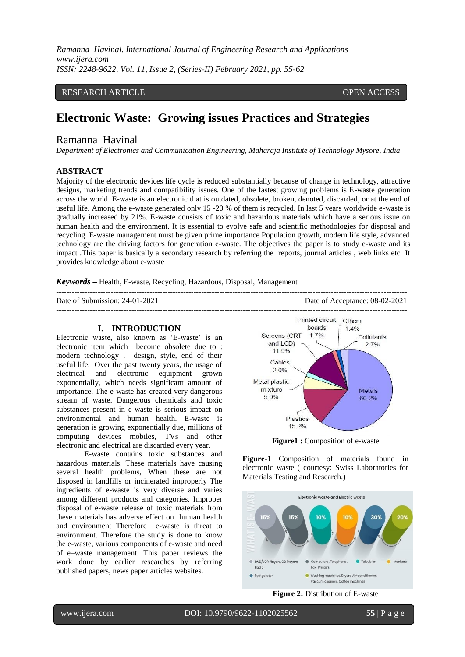# RESEARCH ARTICLE **CONTRACT ARTICLE** AND A SERVICE OPEN ACCESS OPEN ACCESS

# **Electronic Waste: Growing issues Practices and Strategies**

# Ramanna Havinal

*Department of Electronics and Communication Engineering, Maharaja Institute of Technology Mysore, India*

# **ABSTRACT**

Majority of the electronic devices life cycle is reduced substantially because of change in technology, attractive designs, marketing trends and compatibility issues. One of the fastest growing problems is E-waste generation across the world. E-waste is an electronic that is outdated, obsolete, broken, denoted, discarded, or at the end of useful life. Among the e-waste generated only 15 -20 % of them is recycled. In last 5 years worldwide e-waste is gradually increased by 21%. E-waste consists of toxic and hazardous materials which have a serious issue on human health and the environment. It is essential to evolve safe and scientific methodologies for disposal and recycling. E-waste management must be given prime importance Population growth, modern life style, advanced technology are the driving factors for generation e-waste. The objectives the paper is to study e-waste and its impact .This paper is basically a secondary research by referring the reports, journal articles , web links etc It provides knowledge about e-waste

---------------------------------------------------------------------------------------------------------------------------------------

*Keywords* **–** Health, E-waste, Recycling, Hazardous, Disposal, Management

Date of Submission: 24-01-2021 Date of Acceptance: 08-02-2021

#### **I. INTRODUCTION**

Electronic waste, also known as 'E-waste' is an electronic item which become obsolete due to : modern technology , design, style, end of their useful life. Over the past twenty years, the usage of electrical and electronic equipment grown exponentially, which needs significant amount of importance. The e-waste has created very dangerous stream of waste. Dangerous chemicals and toxic substances present in e-waste is serious impact on environmental and human health. E-waste is generation is growing exponentially due, millions of computing devices mobiles, TVs and other electronic and electrical are discarded every year.

E-waste contains toxic substances and hazardous materials. These materials have causing several health problems, When these are not disposed in landfills or incinerated improperly The ingredients of e-waste is very diverse and varies among different products and categories. Improper disposal of e-waste release of toxic materials from these materials has adverse effect on human health and environment Therefore e-waste is threat to environment. Therefore the study is done to know the e-waste, various components of e-waste and need of e–waste management. This paper reviews the work done by earlier researches by referring published papers, news paper articles websites.



**Figure1 :** Composition of e-waste

**Figure-1** Composition of materials found in electronic waste ( courtesy: Swiss Laboratories for Materials Testing and Research.)



**Figure 2:** Distribution of E-waste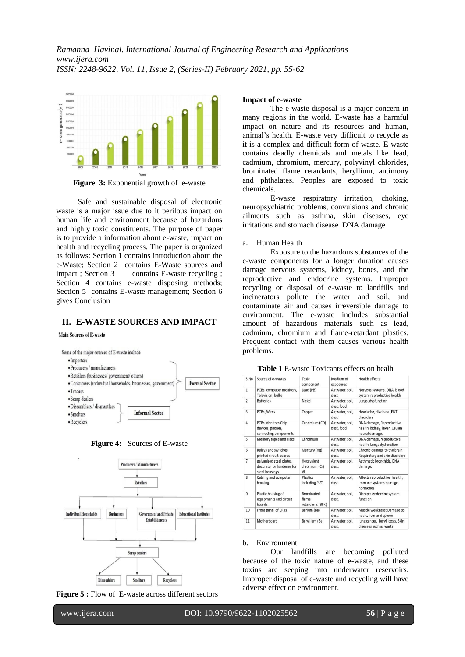

**Figure 3:** Exponential growth of e-waste

 Safe and sustainable disposal of electronic waste is a major issue due to it perilous impact on human life and environment because of hazardous and highly toxic constituents. The purpose of paper is to provide a information about e-waste, impact on health and recycling process. The paper is organized as follows: Section 1 contains introduction about the e-Waste; Section 2 contains E-Waste sources and impact ; Section 3 contains E-waste recycling ; Section 4 contains e-waste disposing methods; Section 5 contains E-waste management; Section 6 gives Conclusion

### **II. E-WASTE SOURCES AND IMPACT**

**Main Sources of E-waste** 



**Figure 4:** Sources of E-waste



**Figure 5 :** Flow of E-waste across different sectors

#### **Impact of e-waste**

The e-waste disposal is a major concern in many regions in the world. E-waste has a harmful impact on nature and its resources and human, animal's health. E-waste very difficult to recycle as it is a complex and difficult form of waste. E-waste contains deadly chemicals and metals like lead, cadmium, chromium, mercury, polyvinyl chlorides, brominated flame retardants, beryllium, antimony and phthalates. Peoples are exposed to toxic chemicals.

E-waste respiratory irritation, choking, neuropsychiatric problems, convulsions and chronic ailments such as asthma, skin diseases, eye irritations and stomach disease DNA damage

#### a. Human Health

Exposure to the hazardous substances of the e-waste components for a longer duration causes damage nervous systems, kidney, bones, and the reproductive and endocrine systems. Improper recycling or disposal of e-waste to landfills and incinerators pollute the water and soil, and contaminate air and causes irreversible damage to environment. The e-waste includes substantial amount of hazardous materials such as lead, cadmium, chromium and flame-retardant plastics. Frequent contact with them causes various health problems.

| S.No           | Source of e-wastes                                                      | Toxic<br>component                             | Medium of<br>exposures          | <b>Health effects</b>                                                      |
|----------------|-------------------------------------------------------------------------|------------------------------------------------|---------------------------------|----------------------------------------------------------------------------|
| $\mathbf{1}$   | PCBs, computer monitors,<br>Television, bulbs                           | Lead (PB)                                      | Air, water, soil,<br>dust       | Nervous systems, DNA, blood<br>system reproductive health                  |
| $\overline{2}$ | <b>Batteries</b>                                                        | Nickel                                         | Air, water, soil,<br>dust, food | Lungs, dysfunction                                                         |
| 3              | PCBs .Wires                                                             | Copper                                         | Air.water, soil,<br>dust        | Headache, dizziness , ENT<br>disorders                                     |
| 4              | <b>PCBs Monitors Chip</b><br>devices, phones,<br>connecting components  | Candmium (CD)                                  | Air, water, soil,<br>dust, food | DNA damage, Reproductive<br>health kidney, lever. Causes<br>neural damage. |
| 5              | Memory tapes and disks                                                  | Chromium                                       | Air, water, soil,<br>dust.      | DNA damage, reproductive<br>health, Lungs dysfunction                      |
| 6              | Relays and switches,<br>printed circuit boards                          | Mercury (Hg)                                   | Air.water, soil.<br>dust,       | Chronic damage to the brain.<br>Respiratory and skin disorders             |
| $\overline{7}$ | galvanized steel plates,<br>decorator or hardener for<br>steel housings | Hexavalent<br>chromium (Cr)<br>VI              | Air, water, soil,<br>dust.      | Asthmatic bronchitis, DNA<br>damage.                                       |
| 8              | Cabling and computer<br>housing                                         | Plastics<br>including PVC                      | Air, water, soil,<br>dust.      | Affects reproductive health,<br>Immune systems damage,<br>hormones         |
| $\mathbf{0}$   | Plastic housing of<br>equipments and circuit<br>boards.                 | <b>Brominated</b><br>flame<br>retardants (BFR) | Air.water. soil.<br>dust,       | Disrupts endocrine system<br>function                                      |
| 10             | Front panel of CRTs                                                     | Barium (Ba)                                    | Air, water, soil,<br>dust,      | Muscle weakness; Damage to<br>heart, liver and spleen                      |
| 11             | Motherboard                                                             | Beryllium (Be)                                 | Air, water, soil,<br>dust,      | lung cancer, beryllicosis. Skin<br>diseases such as warts                  |

## **Table 1** E-waste Toxicants effects on healh

#### b. Environment

Our landfills are becoming polluted because of the toxic nature of e-waste, and these toxins are seeping into underwater reservoirs. Improper disposal of e-waste and recycling will have adverse effect on environment.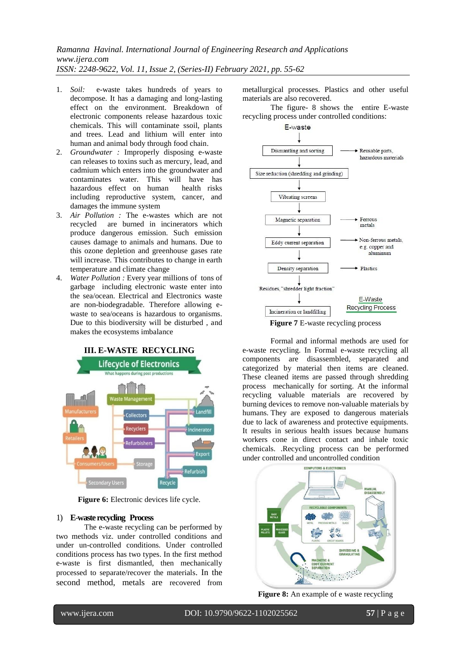- 1. *Soil:* e-waste takes hundreds of years to decompose. It has a damaging and long-lasting effect on the environment. Breakdown of electronic components release hazardous toxic chemicals. This will contaminate ssoil, plants and trees. Lead and lithium will enter into human and animal body through food chain.
- 2. *Groundwater :* Improperly disposing e-waste can releases to toxins such as mercury, lead, and cadmium which enters into the groundwater and contaminates water. This will have has hazardous effect on human health risks including reproductive system, cancer, and damages the immune system
- 3. *Air Pollution :* The e-wastes which are not recycled are burned in incinerators which produce dangerous emission. Such emission causes damage to animals and humans. Due to this ozone depletion and greenhouse gases rate will increase. This contributes to change in earth temperature and climate change
- 4. *Water Pollution :* Every year millions of tons of garbage including electronic waste enter into the sea/ocean. Electrical and Electronics waste are non-biodegradable. Therefore allowing ewaste to sea/oceans is hazardous to organisms. Due to this biodiversity will be disturbed , and makes the ecosystems imbalance



**Figure 6:** Electronic devices life cycle.

## 1) **E**-**waste recycling Process**

The e-waste recycling can be performed by two methods viz. under controlled conditions and under un-controlled conditions. Under controlled conditions process has two types. In the first method e-waste is first dismantled, then mechanically processed to separate/recover the materials. In the second method, metals are recovered from

metallurgical processes. Plastics and other useful materials are also recovered.

The figure- 8 shows the entire E-waste recycling process under controlled conditions:



**Figure 7** E-waste recycling process

Formal and informal methods are used for e-waste recycling. In Formal e-waste recycling all components are disassembled, separated and categorized by material then items are cleaned. These cleaned items are passed through shredding process mechanically for sorting. At the informal recycling valuable materials are recovered by burning devices to remove non-valuable materials by humans. They are exposed to dangerous materials due to lack of awareness and protective equipments. It results in serious health issues because humans workers cone in direct contact and inhale toxic chemicals. .Recycling process can be performed under controlled and uncontrolled condition



**Figure 8:** An example of e waste recycling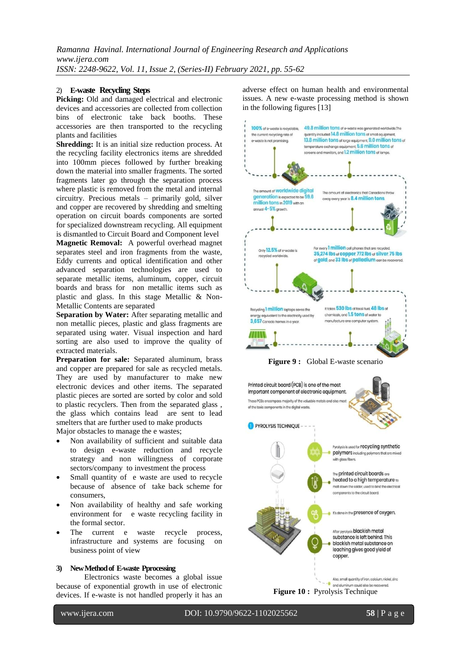# 2) **E-waste Recycling Steps**

**Picking:** Old and damaged electrical and electronic devices and accessories are collected from collection bins of electronic take back booths. These accessories are then transported to the recycling plants and facilities

**Shredding:** It is an initial size reduction process. At the recycling facility electronics items are shredded into 100mm pieces followed by further breaking down the material into smaller fragments. The sorted fragments later go through the separation process where plastic is removed from the metal and internal circuitry. Precious metals – primarily gold, silver and copper are recovered by shredding and smelting operation on circuit boards components are sorted for specialized downstream recycling. All equipment is dismantled to Circuit Board and Component level **Magnetic Removal:** A powerful overhead magnet separates steel and iron fragments from the waste, Eddy currents and optical identification and other advanced separation technologies are used to separate metallic items, aluminum, copper, circuit

boards and brass for non metallic items such as plastic and glass. In this stage Metallic & Non-Metallic Contents are separated

**Separation by Water:** After separating metallic and non metallic pieces, plastic and glass fragments are separated using water. Visual inspection and hard sorting are also used to improve the quality of extracted materials.

**Preparation for sale:** Separated aluminum, brass and copper are prepared for sale as recycled metals. They are used by manufacturer to make new electronic devices and other items. The separated plastic pieces are sorted are sorted by color and sold to plastic recyclers. Then from the separated glass , the glass which contains lead are sent to lead smelters that are further used to make products Major obstacles to manage the e wastes;

- Non availability of sufficient and suitable data to design e-waste reduction and recycle strategy and non willingness of corporate sectors/company to investment the process
- Small quantity of e waste are used to recycle because of absence of take back scheme for consumers,
- Non availability of healthy and safe working environment for e waste recycling facility in the formal sector.
- The current e waste recycle process, infrastructure and systems are focusing on business point of view

#### **3) New Method of E-waste Pprocessing**

Electronics waste becomes a global issue because of exponential growth in use of electronic devices. If e-waste is not handled properly it has an

adverse effect on human health and environmental issues. A new e-waste processing method is shown in the following figures [13]



**Figure 9 :** Global E-waste scenario

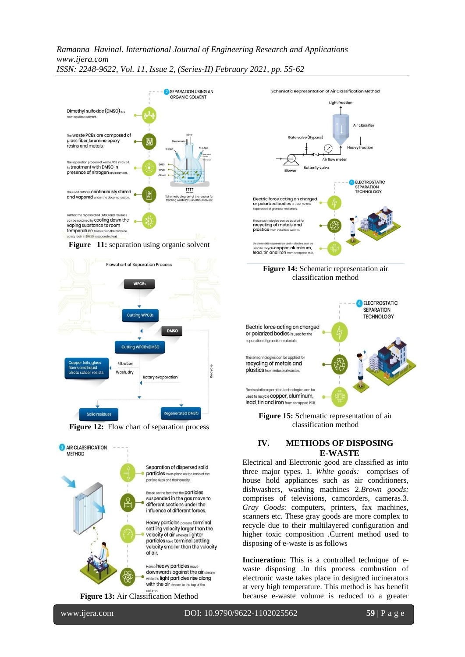

**Figure 12:** Flow chart of separation process



**Figure 13:** Air Classification Method







**Figure 15:** Schematic representation of air classification method

# **IV. METHODS OF DISPOSING E-WASTE**

Electrical and Electronic good are classified as into three major types. 1. *White goods:* comprises of house hold appliances such as air conditioners, dishwashers, washing machines 2.*Brown goods:* comprises of televisions, camcorders, cameras.3. *Gray Goods*: computers, printers, fax machines, scanners etc. These gray goods are more complex to recycle due to their multilayered configuration and higher toxic composition .Current method used to disposing of e-waste is as follows

**Incineration:** This is a controlled technique of ewaste disposing .In this process combustion of electronic waste takes place in designed incinerators at very high temperature. This method is has benefit because e-waste volume is reduced to a greater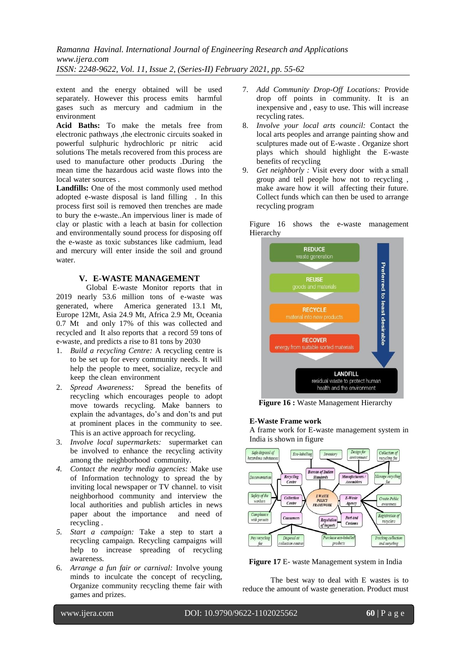extent and the energy obtained will be used separately. However this process emits harmful gases such as mercury and cadmium in the environment

**Acid Baths:** To make the metals free from electronic pathways ,the electronic circuits soaked in powerful sulphuric hydrochloric pr nitric acid solutions The metals recovered from this process are used to manufacture other products .During the mean time the hazardous acid waste flows into the local water sources .

**Landfills:** One of the most commonly used method adopted e-waste disposal is land filling . In this process first soil is removed then trenches are made to bury the e-waste..An impervious liner is made of clay or plastic with a leach at basin for collection and environmentally sound process for disposing off the e-waste as toxic substances like cadmium, lead and mercury will enter inside the soil and ground water.

## **V. E-WASTE MANAGEMENT**

Global E-waste Monitor reports that in 2019 nearly 53.6 million tons of e-waste was generated, where America generated 13.1 Mt, Europe 12Mt, Asia 24.9 Mt, Africa 2.9 Mt, Oceania 0.7 Mt and only 17% of this was collected and recycled and It also reports that a record 59 tons of e-waste, and predicts a rise to 81 tons by 2030

- 1. *Build a recycling Centre:* A recycling centre is to be set up for every community needs. It will help the people to meet, socialize, recycle and keep the clean environment
- 2. *Spread Awareness:* Spread the benefits of recycling which encourages people to adopt move towards recycling. Make banners to explain the advantages, do's and don'ts and put at prominent places in the community to see. This is an active approach for recycling*.*
- 3. *Involve local supermarkets:* supermarket can be involved to enhance the recycling activity among the neighborhood community.
- *4. Contact the nearby media agencies:* Make use of Information technology to spread the by inviting local newspaper or TV channel. to visit neighborhood community and interview the local authorities and publish articles in news paper about the importance and need of recycling .
- *5. Start a campaign:* Take a step to start a recycling campaign. Recycling campaigns will help to increase spreading of recycling awareness*.*
- 6. *Arrange a fun fair or carnival:* Involve young minds to inculcate the concept of recycling, Organize community recycling theme fair with games and prizes.
- 7. *Add Community Drop-Off Locations:* Provide drop off points in community. It is an inexpensive and , easy to use. This will increase recycling rates.
- 8. *Involve your local arts council:* Contact the local arts peoples and arrange painting show and sculptures made out of E-waste . Organize short plays which should highlight the E-waste benefits of recycling
- 9. *Get neighborly :* Visit every door with a small group and tell people how not to recycling , make aware how it will affecting their future. Collect funds which can then be used to arrange recycling program

Figure 16 shows the e-waste management Hierarchy



**Figure 16 :** Waste Management Hierarchy

#### **E-Waste Frame work**

A frame work for E-waste management system in India is shown in figure



**Figure 17** E- waste Management system in India

The best way to deal with E wastes is to reduce the amount of waste generation. Product must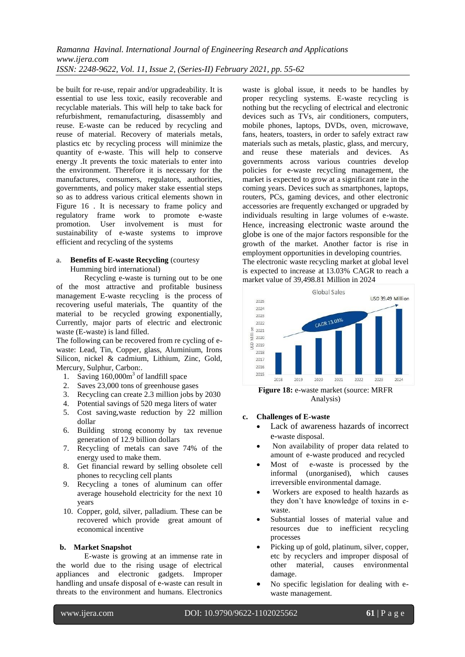be built for re-use, repair and/or upgradeability. It is essential to use less toxic, easily recoverable and recyclable materials. This will help to take back for refurbishment, remanufacturing, disassembly and reuse. E-waste can be reduced by recycling and reuse of material. Recovery of materials metals, plastics etc by recycling process will minimize the quantity of e-waste. This will help to conserve energy .It prevents the toxic materials to enter into the environment. Therefore it is necessary for the manufactures, consumers, regulators, authorities, governments, and policy maker stake essential steps so as to address various critical elements shown in Figure 16 . It is necessary to frame policy and regulatory frame work to promote e-waste promotion. User involvement is must for sustainability of e-waste systems to improve efficient and recycling of the systems

## a. **Benefits of E-waste Recycling** (courtesy Humming bird international)

Recycling e-waste is turning out to be one of the most attractive and profitable business management E-waste recycling is the process of recovering useful materials, The quantity of the material to be recycled growing exponentially, Currently, major parts of electric and electronic waste (E-waste) is land filled.

The following can be recovered from re cycling of ewaste: Lead, Tin, Copper, glass, Aluminium, Irons Silicon, nickel & cadmium, Lithium, Zinc, Gold, Mercury, Sulphur, Carbon:.

- 1. Saving  $160,000m^3$  of landfill space
- 2. Saves 23,000 tons of greenhouse gases
- 3. Recycling can create 2.3 million jobs by 2030
- 4. Potential savings of 520 mega liters of water
- 5. Cost saving,waste reduction by 22 million dollar
- 6. Building strong economy by tax revenue generation of 12.9 billion dollars
- 7. Recycling of metals can save 74% of the energy used to make them.
- 8. Get financial reward by selling obsolete cell phones to recycling cell plants
- 9. Recycling a tones of aluminum can offer average household electricity for the next 10 years
- 10. Copper, gold, silver, palladium. These can be recovered which provide great amount of economical incentive

#### **b. Market Snapshot**

E-waste is growing at an immense rate in the world due to the rising usage of electrical appliances and electronic gadgets. Improper handling and unsafe disposal of e-waste can result in threats to the environment and humans. Electronics

waste is global issue, it needs to be handles by proper recycling systems. E-waste recycling is nothing but the recycling of electrical and electronic devices such as TVs, air conditioners, computers, mobile phones, laptops, DVDs, oven, microwave, fans, heaters, toasters, in order to safely extract raw materials such as metals, plastic, glass, and mercury, and reuse these materials and devices. As governments across various countries develop policies for e-waste recycling management, the market is expected to grow at a significant rate in the coming years. Devices such as smartphones, laptops, routers, PCs, gaming devices, and other electronic accessories are frequently exchanged or upgraded by individuals resulting in large volumes of e-waste. Hence, increasing electronic waste around the globe is one of the major factors responsible for the growth of the market. Another factor is rise in employment opportunities in developing countries. The electronic waste recycling market at global level

is expected to increase at 13.03% CAGR to reach a market value of 39,498.81 Million in 2024



**Figure 18:** e-waste market (source: MRFR Analysis)

- **c. Challenges of E-waste** 
	- Lack of awareness hazards of incorrect e-waste disposal.
	- Non availability of proper data related to amount of e-waste produced and recycled
	- Most of e-waste is processed by the informal (unorganised), which causes irreversible environmental damage.
	- Workers are exposed to health hazards as they don't have knowledge of toxins in ewaste.
	- Substantial losses of material value and resources due to inefficient recycling processes
	- Picking up of gold, platinum, silver, copper, etc by recyclers and improper disposal of other material, causes environmental damage.
	- No specific legislation for dealing with ewaste management.